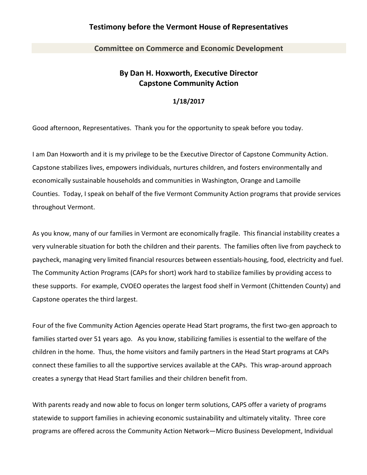## **Testimony before the Vermont House of Representatives**

**Committee on Commerce and Economic Development**

## **By Dan H. Hoxworth, Executive Director Capstone Community Action**

## **1/18/2017**

Good afternoon, Representatives. Thank you for the opportunity to speak before you today.

I am Dan Hoxworth and it is my privilege to be the Executive Director of Capstone Community Action. Capstone stabilizes lives, empowers individuals, nurtures children, and fosters environmentally and economically sustainable households and communities in Washington, Orange and Lamoille Counties. Today, I speak on behalf of the five Vermont Community Action programs that provide services throughout Vermont.

As you know, many of our families in Vermont are economically fragile. This financial instability creates a very vulnerable situation for both the children and their parents. The families often live from paycheck to paycheck, managing very limited financial resources between essentials-housing, food, electricity and fuel. The Community Action Programs (CAPs for short) work hard to stabilize families by providing access to these supports. For example, CVOEO operates the largest food shelf in Vermont (Chittenden County) and Capstone operates the third largest.

Four of the five Community Action Agencies operate Head Start programs, the first two-gen approach to families started over 51 years ago. As you know, stabilizing families is essential to the welfare of the children in the home. Thus, the home visitors and family partners in the Head Start programs at CAPs connect these families to all the supportive services available at the CAPs. This wrap-around approach creates a synergy that Head Start families and their children benefit from.

With parents ready and now able to focus on longer term solutions, CAPS offer a variety of programs statewide to support families in achieving economic sustainability and ultimately vitality. Three core programs are offered across the Community Action Network—Micro Business Development, Individual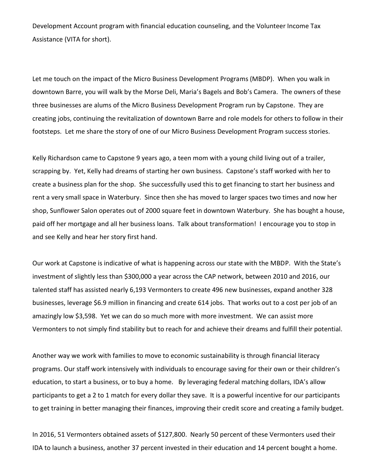Development Account program with financial education counseling, and the Volunteer Income Tax Assistance (VITA for short).

Let me touch on the impact of the Micro Business Development Programs (MBDP). When you walk in downtown Barre, you will walk by the Morse Deli, Maria's Bagels and Bob's Camera. The owners of these three businesses are alums of the Micro Business Development Program run by Capstone. They are creating jobs, continuing the revitalization of downtown Barre and role models for others to follow in their footsteps. Let me share the story of one of our Micro Business Development Program success stories.

Kelly Richardson came to Capstone 9 years ago, a teen mom with a young child living out of a trailer, scrapping by. Yet, Kelly had dreams of starting her own business. Capstone's staff worked with her to create a business plan for the shop. She successfully used this to get financing to start her business and rent a very small space in Waterbury. Since then she has moved to larger spaces two times and now her shop, Sunflower Salon operates out of 2000 square feet in downtown Waterbury. She has bought a house, paid off her mortgage and all her business loans. Talk about transformation! I encourage you to stop in and see Kelly and hear her story first hand.

Our work at Capstone is indicative of what is happening across our state with the MBDP. With the State's investment of slightly less than \$300,000 a year across the CAP network, between 2010 and 2016, our talented staff has assisted nearly 6,193 Vermonters to create 496 new businesses, expand another 328 businesses, leverage \$6.9 million in financing and create 614 jobs. That works out to a cost per job of an amazingly low \$3,598. Yet we can do so much more with more investment. We can assist more Vermonters to not simply find stability but to reach for and achieve their dreams and fulfill their potential.

Another way we work with families to move to economic sustainability is through financial literacy programs. Our staff work intensively with individuals to encourage saving for their own or their children's education, to start a business, or to buy a home. By leveraging federal matching dollars, IDA's allow participants to get a 2 to 1 match for every dollar they save. It is a powerful incentive for our participants to get training in better managing their finances, improving their credit score and creating a family budget.

In 2016, 51 Vermonters obtained assets of \$127,800. Nearly 50 percent of these Vermonters used their IDA to launch a business, another 37 percent invested in their education and 14 percent bought a home.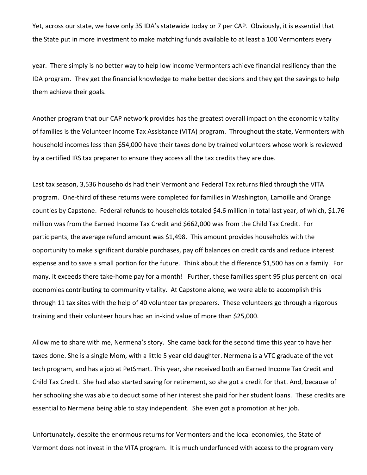Yet, across our state, we have only 35 IDA's statewide today or 7 per CAP. Obviously, it is essential that the State put in more investment to make matching funds available to at least a 100 Vermonters every

year. There simply is no better way to help low income Vermonters achieve financial resiliency than the IDA program. They get the financial knowledge to make better decisions and they get the savings to help them achieve their goals.

Another program that our CAP network provides has the greatest overall impact on the economic vitality of families is the Volunteer Income Tax Assistance (VITA) program. Throughout the state, Vermonters with household incomes less than \$54,000 have their taxes done by trained volunteers whose work is reviewed by a certified IRS tax preparer to ensure they access all the tax credits they are due.

Last tax season, 3,536 households had their Vermont and Federal Tax returns filed through the VITA program. One-third of these returns were completed for families in Washington, Lamoille and Orange counties by Capstone. Federal refunds to households totaled \$4.6 million in total last year, of which, \$1.76 million was from the Earned Income Tax Credit and \$662,000 was from the Child Tax Credit. For participants, the average refund amount was \$1,498. This amount provides households with the opportunity to make significant durable purchases, pay off balances on credit cards and reduce interest expense and to save a small portion for the future. Think about the difference \$1,500 has on a family. For many, it exceeds there take-home pay for a month! Further, these families spent 95 plus percent on local economies contributing to community vitality. At Capstone alone, we were able to accomplish this through 11 tax sites with the help of 40 volunteer tax preparers. These volunteers go through a rigorous training and their volunteer hours had an in-kind value of more than \$25,000.

Allow me to share with me, Nermena's story. She came back for the second time this year to have her taxes done. She is a single Mom, with a little 5 year old daughter. Nermena is a VTC graduate of the vet tech program, and has a job at PetSmart. This year, she received both an Earned Income Tax Credit and Child Tax Credit. She had also started saving for retirement, so she got a credit for that. And, because of her schooling she was able to deduct some of her interest she paid for her student loans. These credits are essential to Nermena being able to stay independent. She even got a promotion at her job.

Unfortunately, despite the enormous returns for Vermonters and the local economies, the State of Vermont does not invest in the VITA program. It is much underfunded with access to the program very